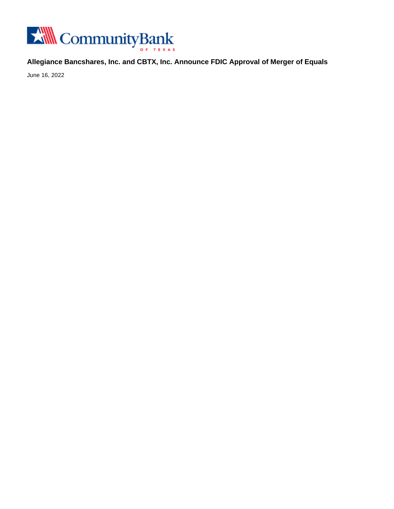

**Allegiance Bancshares, Inc. and CBTX, Inc. Announce FDIC Approval of Merger of Equals**

June 16, 2022